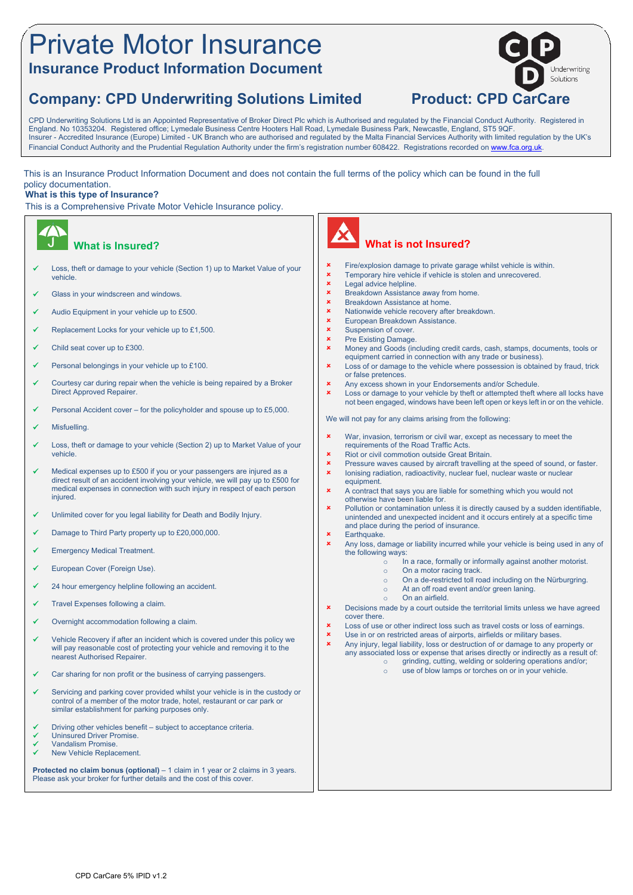## Private Motor Insurance **Insurance Product Information Document**

## **Company: CPD Underwriting Solutions Limited Product: CPD CarCare**

derwriting Solutions

CPD Underwriting Solutions Ltd is an Appointed Representative of Broker Direct Plc which is Authorised and regulated by the Financial Conduct Authority. Registered in England. No 10353204. Registered office; Lymedale Business Centre Hooters Hall Road, Lymedale Business Park, Newcastle, England, ST5 9QF. Insurer - Accredited Insurance (Europe) Limited - UK Branch who are authorised and regulated by the Malta Financial Services Authority with limited regulation by the UK's Financial Conduct Authority and the Prudential Regulation Authority under the firm's registration number 608422. Registrations recorded on www.fca.org.uk

This is an Insurance Product Information Document and does not contain the full terms of the policy which can be found in the full policy documentation.

#### **What is this type of Insurance?**

This is a Comprehensive Private Motor Vehicle Insurance policy.

#### **What is Insured?** Loss, theft or damage to your vehicle (Section 1) up to Market Value of your vehicle. Glass in your windscreen and windows. Audio Equipment in your vehicle up to £500. Replacement Locks for your vehicle up to  $£1,500$ . Child seat cover up to £300.  $\checkmark$  Personal belongings in your vehicle up to £100. Courtesy car during repair when the vehicle is being repaired by a Broker Direct Approved Repairer. Personal Accident cover – for the policyholder and spouse up to £5,000. **Misfuelling**  Loss, theft or damage to your vehicle (Section 2) up to Market Value of your vehicle. Medical expenses up to £500 if you or your passengers are injured as a direct result of an accident involving your vehicle, we will pay up to £500 for medical expenses in connection with such injury in respect of each person injured. Unlimited cover for you legal liability for Death and Bodily Injury. Damage to Third Party property up to £20,000,000. Emergency Medical Treatment. European Cover (Foreign Use). 24 hour emergency helpline following an accident.  $\checkmark$  Travel Expenses following a claim. Overnight accommodation following a claim. Vehicle Recovery if after an incident which is covered under this policy we will pay reasonable cost of protecting your vehicle and removing it to the nearest Authorised Repairer. Car sharing for non profit or the business of carrying passengers. Servicing and parking cover provided whilst your vehicle is in the custody or control of a member of the motor trade, hotel, restaurant or car park or similar establishment for parking purposes only.  $\checkmark$  Driving other vehicles benefit – subject to acceptance criteria. Uninsured Driver Promise. Vandalism Promise. New Vehicle Replacement. **Protected no claim bonus (optional)** – 1 claim in 1 year or 2 claims in 3 years. Please ask your broker for further details and the cost of this cover.  **What is not Insured? x** Fire/explosion damage to private garage whilst vehicle is within.<br>**x** Temporary bire vehicle if vehicle is stolen and unrecovered **x** Temporary hire vehicle if vehicle is stolen and unrecovered.<br> **x** Legal advice helpline  $x$  Legal advice helpline.<br> $x$  Breakdown Assistance Breakdown Assistance away from home.  $\frac{\text{g}}{\text{g}}$  Breakdown Assistance at home. Nationwide vehicle recovery after breakdown. **x** European Breakdown Assistance.<br> **x** Suspension of cover Suspension of cover. **\*** Pre Existing Damage. Money and Goods (including credit cards, cash, stamps, documents, tools or equipment carried in connection with any trade or business). **x** Loss of or damage to the vehicle where possession is obtained by fraud, trick or false pretences. **x** Any excess shown in your Endorsements and/or Schedule. **x** Loss or damage to your vehicle by theft or attempted theft where all locks have not been engaged, windows have been left open or keys left in or on the vehicle. We will not pay for any claims arising from the following: War, invasion, terrorism or civil war, except as necessary to meet the requirements of the Road Traffic Acts. Riot or civil commotion outside Great Britain. **x** Pressure waves caused by aircraft travelling at the speed of sound, or faster. **x** lonising radiation, radioactivity, nuclear fuel, nuclear waste or nuclear equipment. A contract that says you are liable for something which you would not otherwise have been liable for. Pollution or contamination unless it is directly caused by a sudden identifiable, unintended and unexpected incident and it occurs entirely at a specific time and place during the period of insurance. **x** Earthquake. Any loss, damage or liability incurred while your vehicle is being used in any of the following ways:  $\circ$  In a race, formally or informally against another motorist. o On a motor racing track. o On a de-restricted toll road including on the Nürburgring. o At an off road event and/or green laning. o On an airfield. **x** Decisions made by a court outside the territorial limits unless we have agreed cover there. x Loss of use or other indirect loss such as travel costs or loss of earnings.<br>x Lise in or on restricted areas of airmorts, airfields or military bases x Use in or on restricted areas of airports, airfields or military bases.<br>Any injury legal liability loss or destruction of or damage to any n Any injury, legal liability, loss or destruction of or damage to any property or any associated loss or expense that arises directly or indirectly as a result of: o grinding, cutting, welding or soldering operations and/or; o use of blow lamps or torches on or in your vehicle.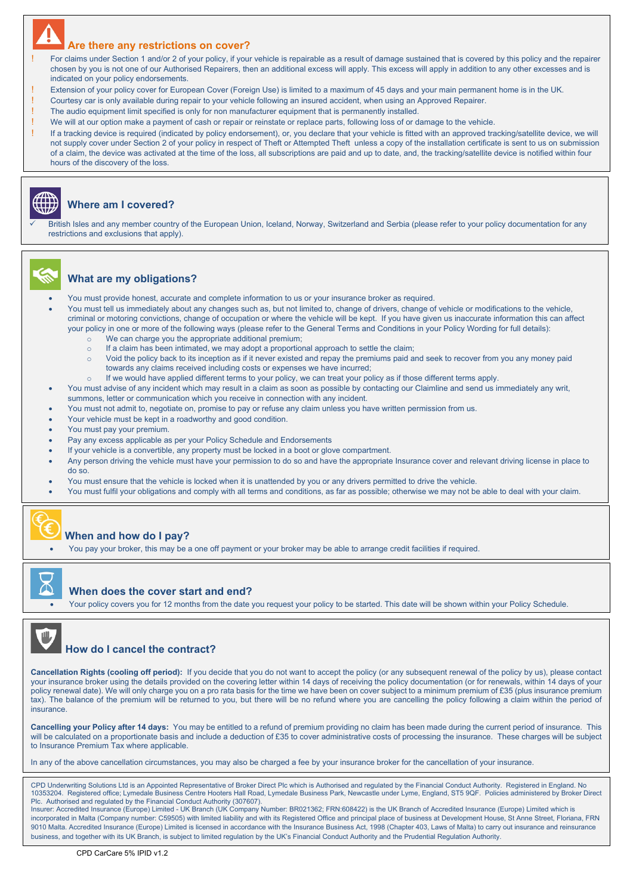### **Are there any restrictions on cover?**

For claims under Section 1 and/or 2 of your policy, if your vehicle is repairable as a result of damage sustained that is covered by this policy and the repairer chosen by you is not one of our Authorised Repairers, then an additional excess will apply. This excess will apply in addition to any other excesses and is indicated on your policy endorsements.

- Extension of your policy cover for European Cover (Foreign Use) is limited to a maximum of 45 days and your main permanent home is in the UK.
- ! Courtesy car is only available during repair to your vehicle following an insured accident, when using an Approved Repairer.
- ! The audio equipment limit specified is only for non manufacturer equipment that is permanently installed.
- We will at our option make a payment of cash or repair or reinstate or replace parts, following loss of or damage to the vehicle.

! If a tracking device is required (indicated by policy endorsement), or, you declare that your vehicle is fitted with an approved tracking/satellite device, we will not supply cover under Section 2 of your policy in respect of Theft or Attempted Theft unless a copy of the installation certificate is sent to us on submission of a claim, the device was activated at the time of the loss, all subscriptions are paid and up to date, and, the tracking/satellite device is notified within four hours of the discovery of the loss.



#### **Where am I covered?**

 British Isles and any member country of the European Union, Iceland, Norway, Switzerland and Serbia (please refer to your policy documentation for any restrictions and exclusions that apply).



#### **What are my obligations?**

- You must provide honest, accurate and complete information to us or your insurance broker as required.
- You must tell us immediately about any changes such as, but not limited to, change of drivers, change of vehicle or modifications to the vehicle, criminal or motoring convictions, change of occupation or where the vehicle will be kept. If you have given us inaccurate information this can affect your policy in one or more of the following ways (please refer to the General Terms and Conditions in your Policy Wording for full details): o We can charge you the appropriate additional premium;
	- o If a claim has been intimated, we may adopt a proportional approach to settle the claim;
	- o Void the policy back to its inception as if it never existed and repay the premiums paid and seek to recover from you any money paid towards any claims received including costs or expenses we have incurred;
		- If we would have applied different terms to your policy, we can treat your policy as if those different terms apply.
- You must advise of any incident which may result in a claim as soon as possible by contacting our Claimline and send us immediately any writ, summons, letter or communication which you receive in connection with any incident.
- You must not admit to, negotiate on, promise to pay or refuse any claim unless you have written permission from us.
- Your vehicle must be kept in a roadworthy and good condition.
- You must pay your premium.
- Pay any excess applicable as per your Policy Schedule and Endorsements
- If your vehicle is a convertible, any property must be locked in a boot or glove compartment.
- Any person driving the vehicle must have your permission to do so and have the appropriate Insurance cover and relevant driving license in place to do so.
- You must ensure that the vehicle is locked when it is unattended by you or any drivers permitted to drive the vehicle.
- You must fulfil your obligations and comply with all terms and conditions, as far as possible; otherwise we may not be able to deal with your claim.



#### **When and how do I pay?**

You pay your broker, this may be a one off payment or your broker may be able to arrange credit facilities if required.



#### **When does the cover start and end?**

Your policy covers you for 12 months from the date you request your policy to be started. This date will be shown within your Policy Schedule.



### **How do I cancel the contract?**

Cancellation Rights (cooling off period): If you decide that you do not want to accept the policy (or any subsequent renewal of the policy by us), please contact your insurance broker using the details provided on the covering letter within 14 days of receiving the policy documentation (or for renewals, within 14 days of your policy renewal date). We will only charge you on a pro rata basis for the time we have been on cover subject to a minimum premium of £35 (plus insurance premium tax). The balance of the premium will be returned to you, but there will be no refund where you are cancelling the policy following a claim within the period of insurance.

**Cancelling your Policy after 14 days:** You may be entitled to a refund of premium providing no claim has been made during the current period of insurance. This will be calculated on a proportionate basis and include a deduction of £35 to cover administrative costs of processing the insurance. These charges will be subject to Insurance Premium Tax where applicable.

In any of the above cancellation circumstances, you may also be charged a fee by your insurance broker for the cancellation of your insurance.

CPD Underwriting Solutions Ltd is an Appointed Representative of Broker Direct Plc which is Authorised and regulated by the Financial Conduct Authority. Registered in England. No 10353204. Registered office; Lymedale Business Centre Hooters Hall Road, Lymedale Business Park, Newcastle under Lyme, England, ST5 9QF. Policies administered by Broker Direct Plc. Authorised and regulated by the Financial Conduct Authority (307607).<br>Insurer: Accredited Insurance (Europe) Limited - UK Branch (UK Company Number: BR021362; FRN:608422) is the UK Branch of Accredited Insurance (Eur

incorporated in Malta (Company number: C59505) with limited liability and with its Registered Office and principal place of business at Development House, St Anne Street, Floriana, FRN 9010 Malta. Accredited Insurance (Europe) Limited is licensed in accordance with the Insurance Business Act, 1998 (Chapter 403, Laws of Malta) to carry out insurance and reinsurance business, and together with its UK Branch, is subject to limited regulation by the UK's Financial Conduct Authority and the Prudential Regulation Authority.